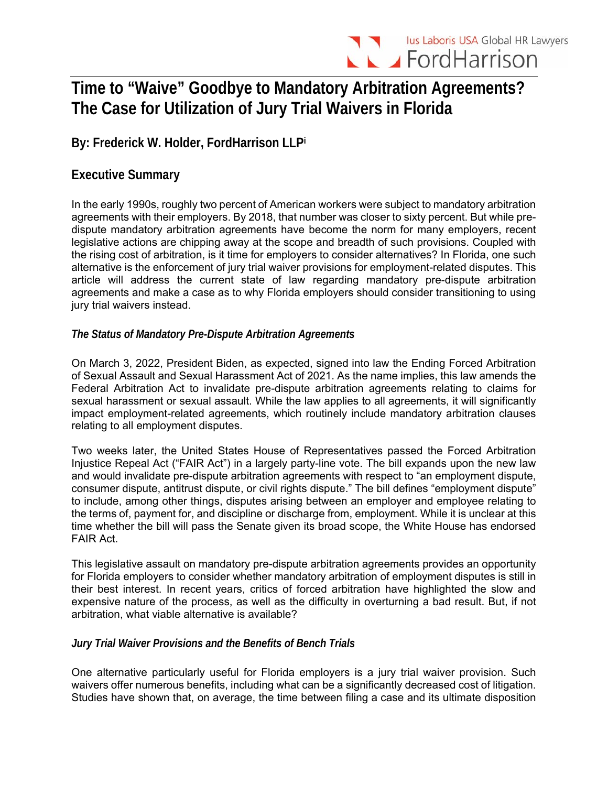# **Time to "Waive" Goodbye to Mandatory Arbitration Agreements? The Case for Utilization of Jury Trial Waivers in Florida**

**By: Frederick W. Holder, FordHarrison LLPi**

# **Executive Summary**

In the early 1990s, roughly two percent of American workers were subject to mandatory arbitration agreements with their employers. By 2018, that number was closer to sixty percent. But while predispute mandatory arbitration agreements have become the norm for many employers, recent legislative actions are chipping away at the scope and breadth of such provisions. Coupled with the rising cost of arbitration, is it time for employers to consider alternatives? In Florida, one such alternative is the enforcement of jury trial waiver provisions for employment-related disputes. This article will address the current state of law regarding mandatory pre-dispute arbitration agreements and make a case as to why Florida employers should consider transitioning to using jury trial waivers instead.

## *The Status of Mandatory Pre-Dispute Arbitration Agreements*

On March 3, 2022, President Biden, as expected, signed into law the Ending Forced Arbitration of Sexual Assault and Sexual Harassment Act of 2021. As the name implies, this law amends the Federal Arbitration Act to invalidate pre-dispute arbitration agreements relating to claims for sexual harassment or sexual assault. While the law applies to all agreements, it will significantly impact employment-related agreements, which routinely include mandatory arbitration clauses relating to all employment disputes.

Two weeks later, the United States House of Representatives passed the Forced Arbitration Injustice Repeal Act ("FAIR Act") in a largely party-line vote. The bill expands upon the new law and would invalidate pre-dispute arbitration agreements with respect to "an employment dispute, consumer dispute, antitrust dispute, or civil rights dispute." The bill defines "employment dispute" to include, among other things, disputes arising between an employer and employee relating to the terms of, payment for, and discipline or discharge from, employment. While it is unclear at this time whether the bill will pass the Senate given its broad scope, the White House has endorsed FAIR Act.

This legislative assault on mandatory pre-dispute arbitration agreements provides an opportunity for Florida employers to consider whether mandatory arbitration of employment disputes is still in their best interest. In recent years, critics of forced arbitration have highlighted the slow and expensive nature of the process, as well as the difficulty in overturning a bad result. But, if not arbitration, what viable alternative is available?

### *Jury Trial Waiver Provisions and the Benefits of Bench Trials*

One alternative particularly useful for Florida employers is a jury trial waiver provision. Such waivers offer numerous benefits, including what can be a significantly decreased cost of litigation. Studies have shown that, on average, the time between filing a case and its ultimate disposition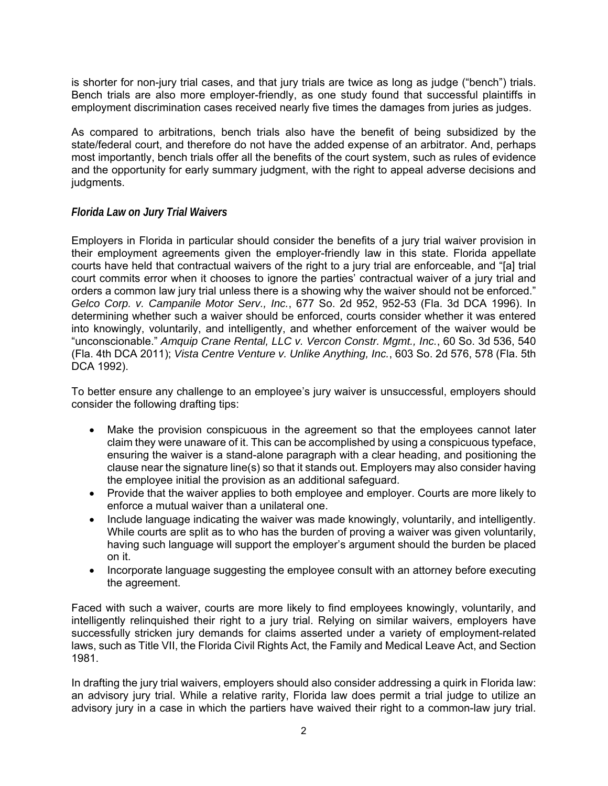is shorter for non-jury trial cases, and that jury trials are twice as long as judge ("bench") trials. Bench trials are also more employer-friendly, as one study found that successful plaintiffs in employment discrimination cases received nearly five times the damages from juries as judges.

As compared to arbitrations, bench trials also have the benefit of being subsidized by the state/federal court, and therefore do not have the added expense of an arbitrator. And, perhaps most importantly, bench trials offer all the benefits of the court system, such as rules of evidence and the opportunity for early summary judgment, with the right to appeal adverse decisions and judgments.

#### *Florida Law on Jury Trial Waivers*

Employers in Florida in particular should consider the benefits of a jury trial waiver provision in their employment agreements given the employer-friendly law in this state. Florida appellate courts have held that contractual waivers of the right to a jury trial are enforceable, and "[a] trial court commits error when it chooses to ignore the parties' contractual waiver of a jury trial and orders a common law jury trial unless there is a showing why the waiver should not be enforced." *Gelco Corp. v. Campanile Motor Serv., Inc.*, 677 So. 2d 952, 952-53 (Fla. 3d DCA 1996). In determining whether such a waiver should be enforced, courts consider whether it was entered into knowingly, voluntarily, and intelligently, and whether enforcement of the waiver would be "unconscionable." *Amquip Crane Rental, LLC v. Vercon Constr. Mgmt., Inc.*, 60 So. 3d 536, 540 (Fla. 4th DCA 2011); *Vista Centre Venture v. Unlike Anything, Inc.*, 603 So. 2d 576, 578 (Fla. 5th DCA 1992).

To better ensure any challenge to an employee's jury waiver is unsuccessful, employers should consider the following drafting tips:

- Make the provision conspicuous in the agreement so that the employees cannot later claim they were unaware of it. This can be accomplished by using a conspicuous typeface, ensuring the waiver is a stand-alone paragraph with a clear heading, and positioning the clause near the signature line(s) so that it stands out. Employers may also consider having the employee initial the provision as an additional safeguard.
- Provide that the waiver applies to both employee and employer. Courts are more likely to enforce a mutual waiver than a unilateral one.
- Include language indicating the waiver was made knowingly, voluntarily, and intelligently. While courts are split as to who has the burden of proving a waiver was given voluntarily, having such language will support the employer's argument should the burden be placed on it.
- Incorporate language suggesting the employee consult with an attorney before executing the agreement.

Faced with such a waiver, courts are more likely to find employees knowingly, voluntarily, and intelligently relinquished their right to a jury trial. Relying on similar waivers, employers have successfully stricken jury demands for claims asserted under a variety of employment-related laws, such as Title VII, the Florida Civil Rights Act, the Family and Medical Leave Act, and Section 1981.

In drafting the jury trial waivers, employers should also consider addressing a quirk in Florida law: an advisory jury trial. While a relative rarity, Florida law does permit a trial judge to utilize an advisory jury in a case in which the partiers have waived their right to a common-law jury trial.